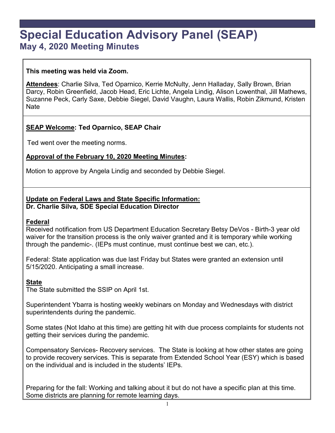# **Special Education Advisory Panel (SEAP) May 4, 2020 Meeting Minutes**

## **This meeting was held via Zoom.**

**Attendees**: Charlie Silva, Ted Oparnico, Kerrie McNulty, Jenn Halladay, Sally Brown, Brian Darcy, Robin Greenfield, Jacob Head, Eric Lichte, Angela Lindig, Alison Lowenthal, Jill Mathews, Suzanne Peck, Carly Saxe, Debbie Siegel, David Vaughn, Laura Wallis, Robin Zikmund, Kristen Nate

## **SEAP Welcome: Ted Oparnico, SEAP Chair**

Ted went over the meeting norms.

## **Approval of the February 10, 2020 Meeting Minutes:**

Motion to approve by Angela Lindig and seconded by Debbie Siegel.

## **Update on Federal Laws and State Specific Information: Dr. Charlie Silva***,* **SDE Special Education Director**

#### **Federal**

Received notification from US Department Education Secretary Betsy DeVos - Birth-3 year old waiver for the transition process is the only waiver granted and it is temporary while working through the pandemic-. (IEPs must continue, must continue best we can, etc.).

Federal: State application was due last Friday but States were granted an extension until 5/15/2020. Anticipating a small increase.

## **State**

The State submitted the SSIP on April 1st.

Superintendent Ybarra is hosting weekly webinars on Monday and Wednesdays with district superintendents during the pandemic.

Some states (Not Idaho at this time) are getting hit with due process complaints for students not getting their services during the pandemic.

Compensatory Services- Recovery services. The State is looking at how other states are going to provide recovery services. This is separate from Extended School Year (ESY) which is based on the individual and is included in the students' IEPs.

Preparing for the fall: Working and talking about it but do not have a specific plan at this time. Some districts are planning for remote learning days.